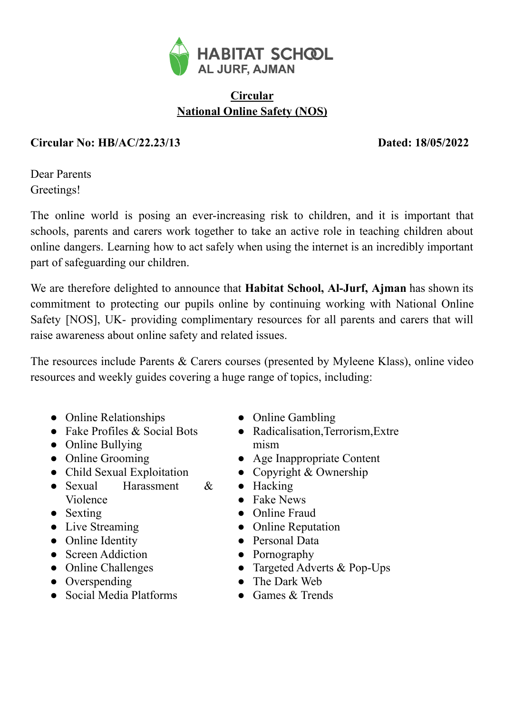

## **Circular National Online Safety (NOS)**

## **Circular No: HB/AC/22.23/13 Dated: 18/05/2022**

Dear Parents Greetings!

The online world is posing an ever-increasing risk to children, and it is important that schools, parents and carers work together to take an active role in teaching children about online dangers. Learning how to act safely when using the internet is an incredibly important part of safeguarding our children.

We are therefore delighted to announce that **Habitat School, Al-Jurf, Ajman** has shown its commitment to protecting our pupils online by continuing working with National Online Safety [NOS], UK- providing complimentary resources for all parents and carers that will raise awareness about online safety and related issues.

The resources include Parents & Carers courses (presented by Myleene Klass), online video resources and weekly guides covering a huge range of topics, including:

- Online Relationships
- $\bullet$  Fake Profiles & Social Bots
- Online Bullying
- Online Grooming
- Child Sexual Exploitation
- Sexual Harassment & Violence
- Sexting
- Live Streaming
- Online Identity
- Screen Addiction
- Online Challenges
- Overspending
- Social Media Platforms
- Online Gambling
- Radicalisation,Terrorism,Extre mism
- Age Inappropriate Content
- Copyright  $&$  Ownership
- Hacking
- Fake News
- Online Fraud
- Online Reputation
- Personal Data
- Pornography
- Targeted Adverts & Pop-Ups
- The Dark Web
- Games & Trends